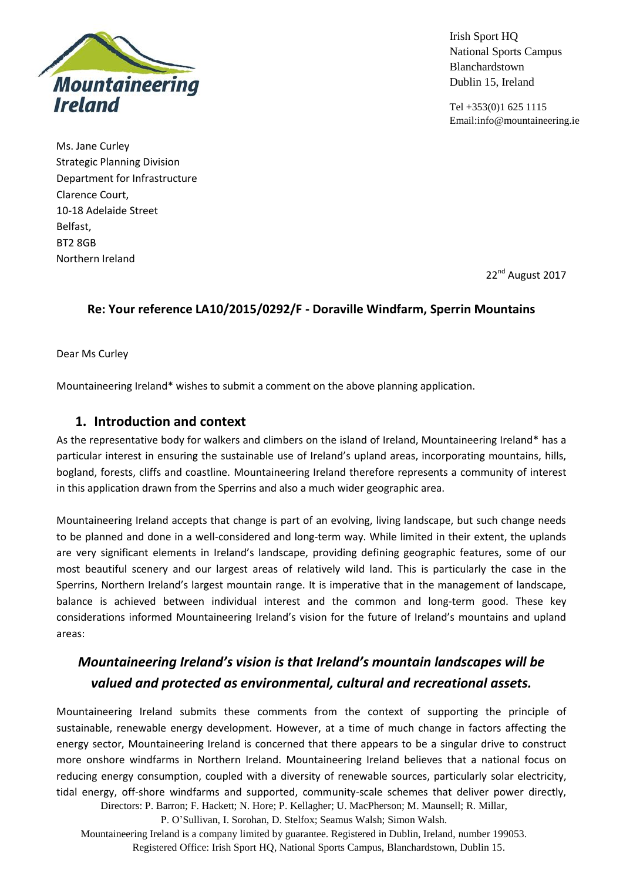

Irish Sport HQ National Sports Campus Blanchardstown Dublin 15, Ireland

Tel +353(0)1 625 1115 Email:info@mountaineering.ie

Ms. Jane Curley Strategic Planning Division Department for Infrastructure Clarence Court, 10-18 Adelaide Street Belfast, BT2 8GB Northern Ireland

22<sup>nd</sup> August 2017

### **Re: Your reference LA10/2015/0292/F - Doraville Windfarm, Sperrin Mountains**

Dear Ms Curley

Mountaineering Ireland\* wishes to submit a comment on the above planning application.

### **1. Introduction and context**

As the representative body for walkers and climbers on the island of Ireland, Mountaineering Ireland\* has a particular interest in ensuring the sustainable use of Ireland's upland areas, incorporating mountains, hills, bogland, forests, cliffs and coastline. Mountaineering Ireland therefore represents a community of interest in this application drawn from the Sperrins and also a much wider geographic area.

Mountaineering Ireland accepts that change is part of an evolving, living landscape, but such change needs to be planned and done in a well-considered and long-term way. While limited in their extent, the uplands are very significant elements in Ireland's landscape, providing defining geographic features, some of our most beautiful scenery and our largest areas of relatively wild land. This is particularly the case in the Sperrins, Northern Ireland's largest mountain range. It is imperative that in the management of landscape, balance is achieved between individual interest and the common and long-term good. These key considerations informed Mountaineering Ireland's vision for the future of Ireland's mountains and upland areas:

# *Mountaineering Ireland's vision is that Ireland's mountain landscapes will be valued and protected as environmental, cultural and recreational assets.*

Directors: P. Barron; F. Hackett; N. Hore; P. Kellagher; U. MacPherson; M. Maunsell; R. Millar, Mountaineering Ireland submits these comments from the context of supporting the principle of sustainable, renewable energy development. However, at a time of much change in factors affecting the energy sector, Mountaineering Ireland is concerned that there appears to be a singular drive to construct more onshore windfarms in Northern Ireland. Mountaineering Ireland believes that a national focus on reducing energy consumption, coupled with a diversity of renewable sources, particularly solar electricity, tidal energy, off-shore windfarms and supported, community-scale schemes that deliver power directly,

P. O'Sullivan, I. Sorohan, D. Stelfox; Seamus Walsh; Simon Walsh.

Mountaineering Ireland is a company limited by guarantee. Registered in Dublin, Ireland, number 199053. Registered Office: Irish Sport HQ, National Sports Campus, Blanchardstown, Dublin 15.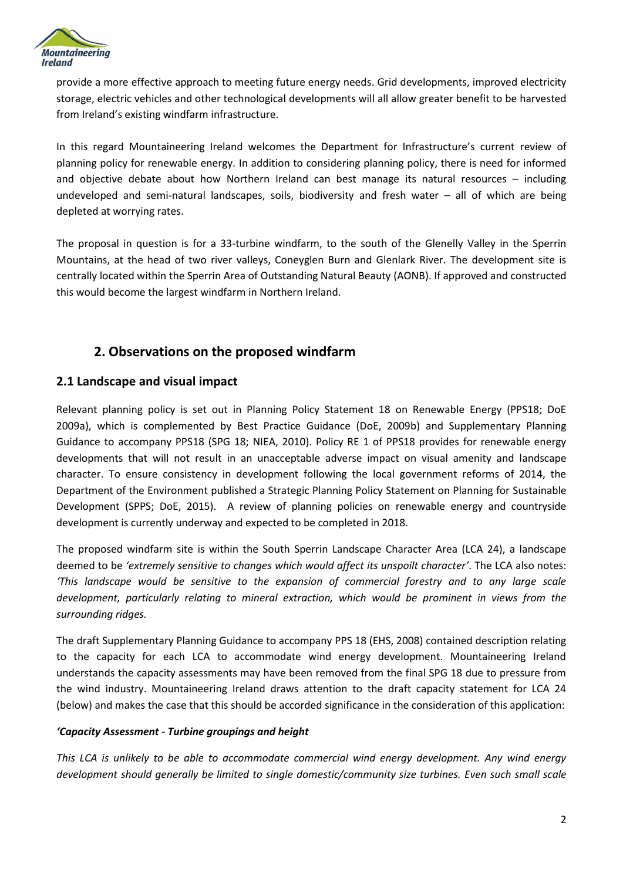

provide a more effective approach to meeting future energy needs. Grid developments, improved electricity storage, electric vehicles and other technological developments will all allow greater benefit to be harvested from Ireland's existing windfarm infrastructure.

In this regard Mountaineering Ireland welcomes the Department for Infrastructure's current review of planning policy for renewable energy. In addition to considering planning policy, there is need for informed and objective debate about how Northern Ireland can best manage its natural resources – including undeveloped and semi-natural landscapes, soils, biodiversity and fresh water – all of which are being depleted at worrying rates.

The proposal in question is for a 33-turbine windfarm, to the south of the Glenelly Valley in the Sperrin Mountains, at the head of two river valleys, Coneyglen Burn and Glenlark River. The development site is centrally located within the Sperrin Area of Outstanding Natural Beauty (AONB). If approved and constructed this would become the largest windfarm in Northern Ireland.

### **2. Observations on the proposed windfarm**

#### **2.1 Landscape and visual impact**

Relevant planning policy is set out in Planning Policy Statement 18 on Renewable Energy (PPS18; DoE 2009a), which is complemented by Best Practice Guidance (DoE, 2009b) and Supplementary Planning Guidance to accompany PPS18 (SPG 18; NIEA, 2010). Policy RE 1 of PPS18 provides for renewable energy developments that will not result in an unacceptable adverse impact on visual amenity and landscape character. To ensure consistency in development following the local government reforms of 2014, the Department of the Environment published a Strategic Planning Policy Statement on Planning for Sustainable Development (SPPS; DoE, 2015). A review of planning policies on renewable energy and countryside development is currently underway and expected to be completed in 2018.

The proposed windfarm site is within the South Sperrin Landscape Character Area (LCA 24), a landscape deemed to be *'extremely sensitive to changes which would affect its unspoilt character'*. The LCA also notes: *'This landscape would be sensitive to the expansion of commercial forestry and to any large scale development, particularly relating to mineral extraction, which would be prominent in views from the surrounding ridges.*

The draft Supplementary Planning Guidance to accompany PPS 18 (EHS, 2008) contained description relating to the capacity for each LCA to accommodate wind energy development. Mountaineering Ireland understands the capacity assessments may have been removed from the final SPG 18 due to pressure from the wind industry. Mountaineering Ireland draws attention to the draft capacity statement for LCA 24 (below) and makes the case that this should be accorded significance in the consideration of this application:

#### *'Capacity Assessment - Turbine groupings and height*

*This LCA is unlikely to be able to accommodate commercial wind energy development. Any wind energy development should generally be limited to single domestic/community size turbines. Even such small scale*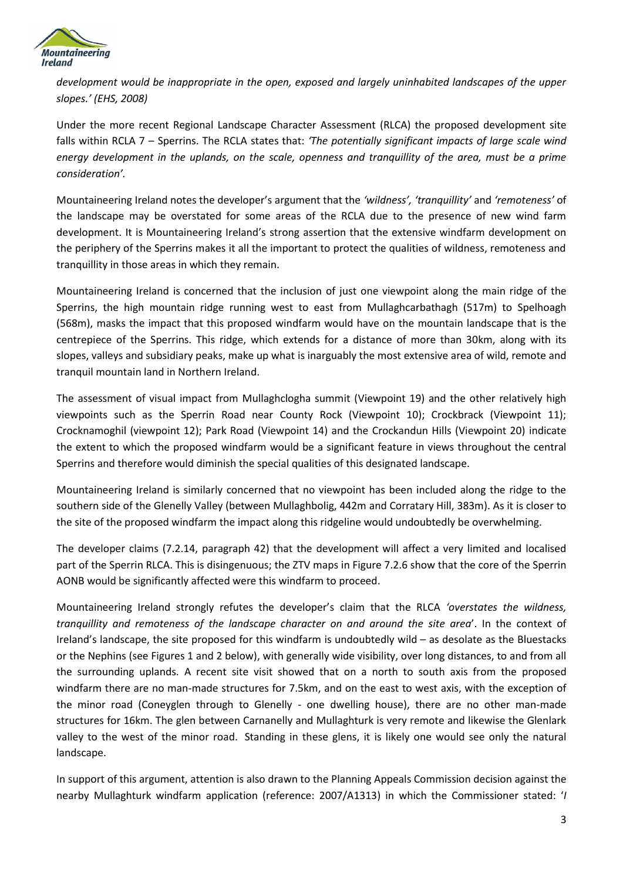

*development would be inappropriate in the open, exposed and largely uninhabited landscapes of the upper slopes.' (EHS, 2008)*

Under the more recent Regional Landscape Character Assessment (RLCA) the proposed development site falls within RCLA 7 – Sperrins. The RCLA states that: *'The potentially significant impacts of large scale wind energy development in the uplands, on the scale, openness and tranquillity of the area, must be a prime consideration'.*

Mountaineering Ireland notes the developer's argument that the *'wildness', 'tranquillity'* and *'remoteness'* of the landscape may be overstated for some areas of the RCLA due to the presence of new wind farm development. It is Mountaineering Ireland's strong assertion that the extensive windfarm development on the periphery of the Sperrins makes it all the important to protect the qualities of wildness, remoteness and tranquillity in those areas in which they remain.

Mountaineering Ireland is concerned that the inclusion of just one viewpoint along the main ridge of the Sperrins, the high mountain ridge running west to east from Mullaghcarbathagh (517m) to Spelhoagh (568m), masks the impact that this proposed windfarm would have on the mountain landscape that is the centrepiece of the Sperrins. This ridge, which extends for a distance of more than 30km, along with its slopes, valleys and subsidiary peaks, make up what is inarguably the most extensive area of wild, remote and tranquil mountain land in Northern Ireland.

The assessment of visual impact from Mullaghclogha summit (Viewpoint 19) and the other relatively high viewpoints such as the Sperrin Road near County Rock (Viewpoint 10); Crockbrack (Viewpoint 11); Crocknamoghil (viewpoint 12); Park Road (Viewpoint 14) and the Crockandun Hills (Viewpoint 20) indicate the extent to which the proposed windfarm would be a significant feature in views throughout the central Sperrins and therefore would diminish the special qualities of this designated landscape.

Mountaineering Ireland is similarly concerned that no viewpoint has been included along the ridge to the southern side of the Glenelly Valley (between Mullaghbolig, 442m and Corratary Hill, 383m). As it is closer to the site of the proposed windfarm the impact along this ridgeline would undoubtedly be overwhelming.

The developer claims (7.2.14, paragraph 42) that the development will affect a very limited and localised part of the Sperrin RLCA. This is disingenuous; the ZTV maps in Figure 7.2.6 show that the core of the Sperrin AONB would be significantly affected were this windfarm to proceed.

Mountaineering Ireland strongly refutes the developer's claim that the RLCA *'overstates the wildness, tranquillity and remoteness of the landscape character on and around the site area*'. In the context of Ireland's landscape, the site proposed for this windfarm is undoubtedly wild – as desolate as the Bluestacks or the Nephins (see Figures 1 and 2 below), with generally wide visibility, over long distances, to and from all the surrounding uplands. A recent site visit showed that on a north to south axis from the proposed windfarm there are no man-made structures for 7.5km, and on the east to west axis, with the exception of the minor road (Coneyglen through to Glenelly - one dwelling house), there are no other man-made structures for 16km. The glen between Carnanelly and Mullaghturk is very remote and likewise the Glenlark valley to the west of the minor road. Standing in these glens, it is likely one would see only the natural landscape.

In support of this argument, attention is also drawn to the Planning Appeals Commission decision against the nearby Mullaghturk windfarm application (reference: 2007/A1313) in which the Commissioner stated: '*I*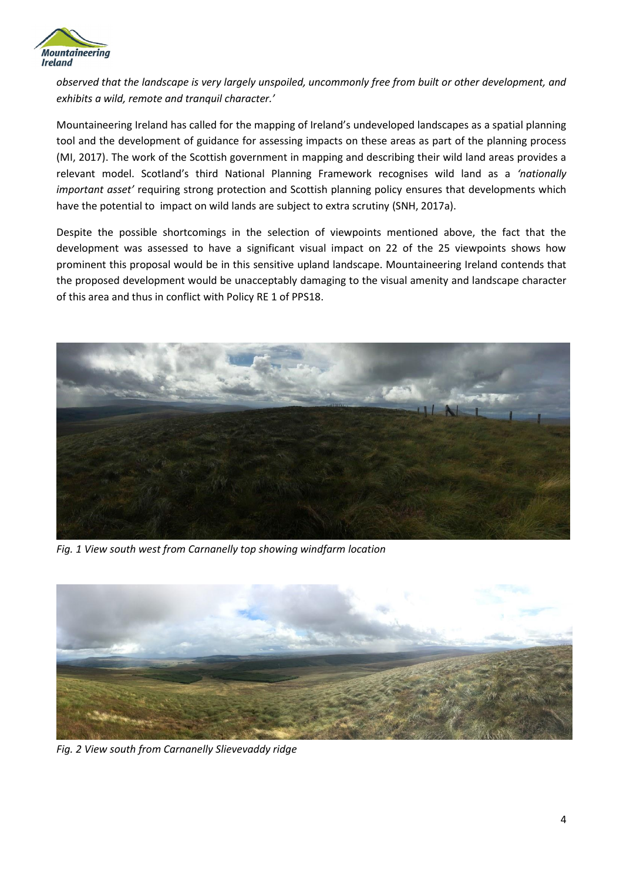

*observed that the landscape is very largely unspoiled, uncommonly free from built or other development, and exhibits a wild, remote and tranquil character.'*

Mountaineering Ireland has called for the mapping of Ireland's undeveloped landscapes as a spatial planning tool and the development of guidance for assessing impacts on these areas as part of the planning process (MI, 2017). The work of the Scottish government in mapping and describing their wild land areas provides a relevant model. Scotland's third National Planning Framework recognises wild land as a *'nationally important asset'* requiring strong protection and Scottish planning policy ensures that developments which have the potential to impact on wild lands are subject to extra scrutiny (SNH, 2017a).

Despite the possible shortcomings in the selection of viewpoints mentioned above, the fact that the development was assessed to have a significant visual impact on 22 of the 25 viewpoints shows how prominent this proposal would be in this sensitive upland landscape. Mountaineering Ireland contends that the proposed development would be unacceptably damaging to the visual amenity and landscape character of this area and thus in conflict with Policy RE 1 of PPS18.



*Fig. 1 View south west from Carnanelly top showing windfarm location*



*Fig. 2 View south from Carnanelly Slievevaddy ridge*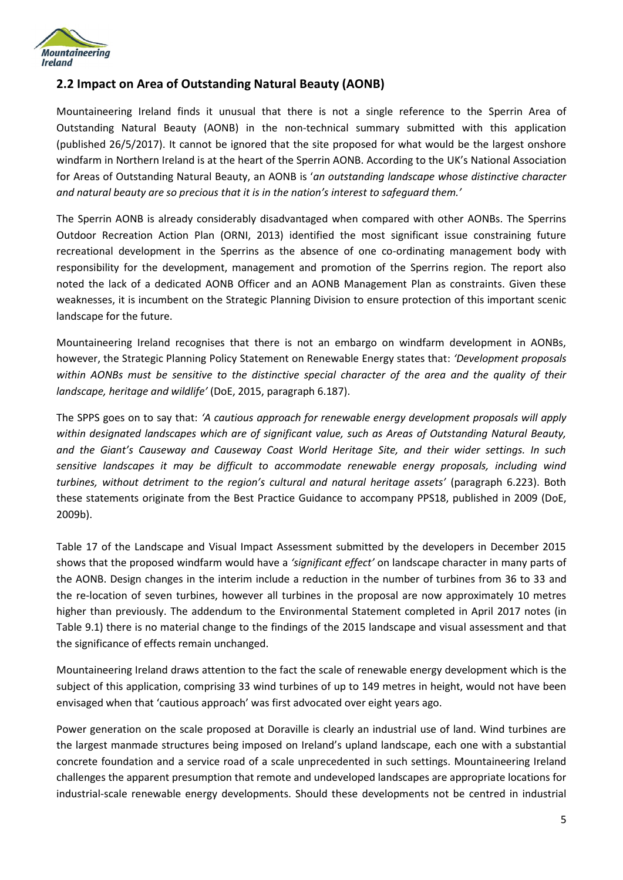

### **2.2 Impact on Area of Outstanding Natural Beauty (AONB)**

Mountaineering Ireland finds it unusual that there is not a single reference to the Sperrin Area of Outstanding Natural Beauty (AONB) in the non-technical summary submitted with this application (published 26/5/2017). It cannot be ignored that the site proposed for what would be the largest onshore windfarm in Northern Ireland is at the heart of the Sperrin AONB. According to the UK's National Association for Areas of Outstanding Natural Beauty, an AONB is '*an outstanding landscape whose distinctive character and natural beauty are so precious that it is in the nation's interest to safeguard them.'*

The Sperrin AONB is already considerably disadvantaged when compared with other AONBs. The Sperrins Outdoor Recreation Action Plan (ORNI, 2013) identified the most significant issue constraining future recreational development in the Sperrins as the absence of one co-ordinating management body with responsibility for the development, management and promotion of the Sperrins region. The report also noted the lack of a dedicated AONB Officer and an AONB Management Plan as constraints. Given these weaknesses, it is incumbent on the Strategic Planning Division to ensure protection of this important scenic landscape for the future.

Mountaineering Ireland recognises that there is not an embargo on windfarm development in AONBs, however, the Strategic Planning Policy Statement on Renewable Energy states that: *'Development proposals within AONBs must be sensitive to the distinctive special character of the area and the quality of their landscape, heritage and wildlife'* (DoE, 2015, paragraph 6.187).

The SPPS goes on to say that: *'A cautious approach for renewable energy development proposals will apply within designated landscapes which are of significant value, such as Areas of Outstanding Natural Beauty, and the Giant's Causeway and Causeway Coast World Heritage Site, and their wider settings. In such sensitive landscapes it may be difficult to accommodate renewable energy proposals, including wind turbines, without detriment to the region's cultural and natural heritage assets'* (paragraph 6.223). Both these statements originate from the Best Practice Guidance to accompany PPS18, published in 2009 (DoE, 2009b).

Table 17 of the Landscape and Visual Impact Assessment submitted by the developers in December 2015 shows that the proposed windfarm would have a *'significant effect'* on landscape character in many parts of the AONB. Design changes in the interim include a reduction in the number of turbines from 36 to 33 and the re-location of seven turbines, however all turbines in the proposal are now approximately 10 metres higher than previously. The addendum to the Environmental Statement completed in April 2017 notes (in Table 9.1) there is no material change to the findings of the 2015 landscape and visual assessment and that the significance of effects remain unchanged.

Mountaineering Ireland draws attention to the fact the scale of renewable energy development which is the subject of this application, comprising 33 wind turbines of up to 149 metres in height, would not have been envisaged when that 'cautious approach' was first advocated over eight years ago.

Power generation on the scale proposed at Doraville is clearly an industrial use of land. Wind turbines are the largest manmade structures being imposed on Ireland's upland landscape, each one with a substantial concrete foundation and a service road of a scale unprecedented in such settings. Mountaineering Ireland challenges the apparent presumption that remote and undeveloped landscapes are appropriate locations for industrial-scale renewable energy developments. Should these developments not be centred in industrial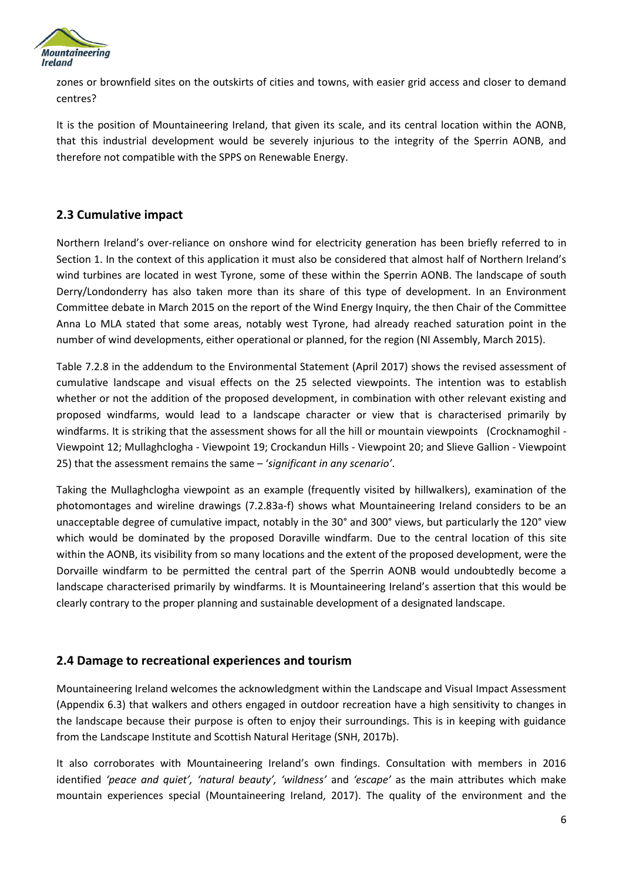

zones or brownfield sites on the outskirts of cities and towns, with easier grid access and closer to demand centres?

It is the position of Mountaineering Ireland, that given its scale, and its central location within the AONB, that this industrial development would be severely injurious to the integrity of the Sperrin AONB, and therefore not compatible with the SPPS on Renewable Energy.

#### **2.3 Cumulative impact**

Northern Ireland's over-reliance on onshore wind for electricity generation has been briefly referred to in Section 1. In the context of this application it must also be considered that almost half of Northern Ireland's wind turbines are located in west Tyrone, some of these within the Sperrin AONB. The landscape of south Derry/Londonderry has also taken more than its share of this type of development. In an Environment Committee debate in March 2015 on the report of the Wind Energy Inquiry, the then Chair of the Committee Anna Lo MLA stated that some areas, notably west Tyrone, had already reached saturation point in the number of wind developments, either operational or planned, for the region (NI Assembly, March 2015).

Table 7.2.8 in the addendum to the Environmental Statement (April 2017) shows the revised assessment of cumulative landscape and visual effects on the 25 selected viewpoints. The intention was to establish whether or not the addition of the proposed development, in combination with other relevant existing and proposed windfarms, would lead to a landscape character or view that is characterised primarily by windfarms. It is striking that the assessment shows for all the hill or mountain viewpoints (Crocknamoghil - Viewpoint 12; Mullaghclogha - Viewpoint 19; Crockandun Hills - Viewpoint 20; and Slieve Gallion - Viewpoint 25) that the assessment remains the same – '*significant in any scenario'*.

Taking the Mullaghclogha viewpoint as an example (frequently visited by hillwalkers), examination of the photomontages and wireline drawings (7.2.83a-f) shows what Mountaineering Ireland considers to be an unacceptable degree of cumulative impact, notably in the 30° and 300° views, but particularly the 120° view which would be dominated by the proposed Doraville windfarm. Due to the central location of this site within the AONB, its visibility from so many locations and the extent of the proposed development, were the Dorvaille windfarm to be permitted the central part of the Sperrin AONB would undoubtedly become a landscape characterised primarily by windfarms. It is Mountaineering Ireland's assertion that this would be clearly contrary to the proper planning and sustainable development of a designated landscape.

#### **2.4 Damage to recreational experiences and tourism**

Mountaineering Ireland welcomes the acknowledgment within the Landscape and Visual Impact Assessment (Appendix 6.3) that walkers and others engaged in outdoor recreation have a high sensitivity to changes in the landscape because their purpose is often to enjoy their surroundings. This is in keeping with guidance from the Landscape Institute and Scottish Natural Heritage (SNH, 2017b).

It also corroborates with Mountaineering Ireland's own findings. Consultation with members in 2016 identified *'peace and quiet', 'natural beauty', 'wildness'* and *'escape'* as the main attributes which make mountain experiences special (Mountaineering Ireland, 2017). The quality of the environment and the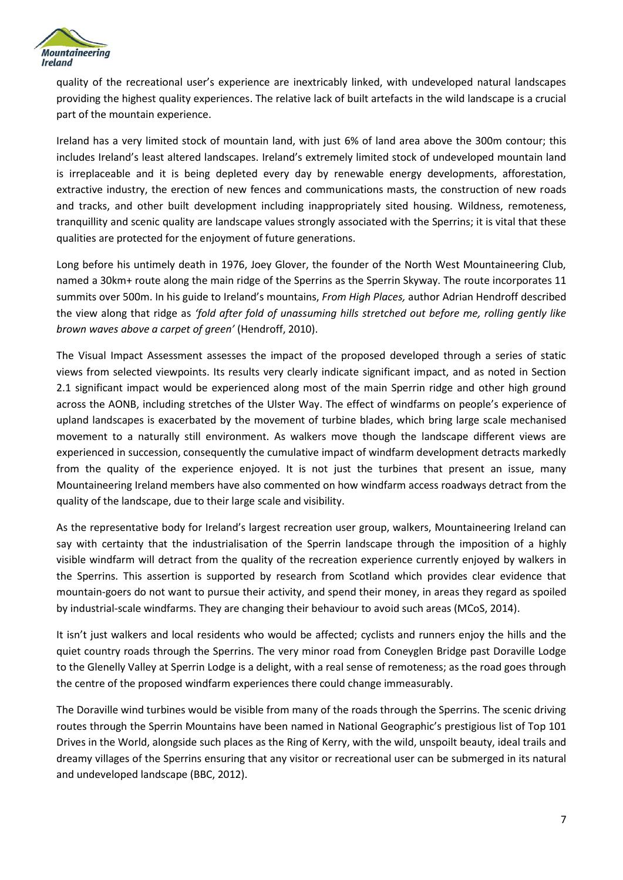

quality of the recreational user's experience are inextricably linked, with undeveloped natural landscapes providing the highest quality experiences. The relative lack of built artefacts in the wild landscape is a crucial part of the mountain experience.

Ireland has a very limited stock of mountain land, with just 6% of land area above the 300m contour; this includes Ireland's least altered landscapes. Ireland's extremely limited stock of undeveloped mountain land is irreplaceable and it is being depleted every day by renewable energy developments, afforestation, extractive industry, the erection of new fences and communications masts, the construction of new roads and tracks, and other built development including inappropriately sited housing. Wildness, remoteness, tranquillity and scenic quality are landscape values strongly associated with the Sperrins; it is vital that these qualities are protected for the enjoyment of future generations.

Long before his untimely death in 1976, Joey Glover, the founder of the North West Mountaineering Club, named a 30km+ route along the main ridge of the Sperrins as the Sperrin Skyway. The route incorporates 11 summits over 500m. In his guide to Ireland's mountains, *From High Places,* author Adrian Hendroff described the view along that ridge as *'fold after fold of unassuming hills stretched out before me, rolling gently like brown waves above a carpet of green'* (Hendroff, 2010).

The Visual Impact Assessment assesses the impact of the proposed developed through a series of static views from selected viewpoints. Its results very clearly indicate significant impact, and as noted in Section 2.1 significant impact would be experienced along most of the main Sperrin ridge and other high ground across the AONB, including stretches of the Ulster Way. The effect of windfarms on people's experience of upland landscapes is exacerbated by the movement of turbine blades, which bring large scale mechanised movement to a naturally still environment. As walkers move though the landscape different views are experienced in succession, consequently the cumulative impact of windfarm development detracts markedly from the quality of the experience enjoyed. It is not just the turbines that present an issue, many Mountaineering Ireland members have also commented on how windfarm access roadways detract from the quality of the landscape, due to their large scale and visibility.

As the representative body for Ireland's largest recreation user group, walkers, Mountaineering Ireland can say with certainty that the industrialisation of the Sperrin landscape through the imposition of a highly visible windfarm will detract from the quality of the recreation experience currently enjoyed by walkers in the Sperrins. This assertion is supported by research from Scotland which provides clear evidence that mountain-goers do not want to pursue their activity, and spend their money, in areas they regard as spoiled by industrial-scale windfarms. They are changing their behaviour to avoid such areas (MCoS, 2014).

It isn't just walkers and local residents who would be affected; cyclists and runners enjoy the hills and the quiet country roads through the Sperrins. The very minor road from Coneyglen Bridge past Doraville Lodge to the Glenelly Valley at Sperrin Lodge is a delight, with a real sense of remoteness; as the road goes through the centre of the proposed windfarm experiences there could change immeasurably.

The Doraville wind turbines would be visible from many of the roads through the Sperrins. The scenic driving routes through the Sperrin Mountains have been named in National Geographic's prestigious list of Top 101 Drives in the World, alongside such places as the Ring of Kerry, with the wild, unspoilt beauty, ideal trails and dreamy villages of the Sperrins ensuring that any visitor or recreational user can be submerged in its natural and undeveloped landscape (BBC, 2012).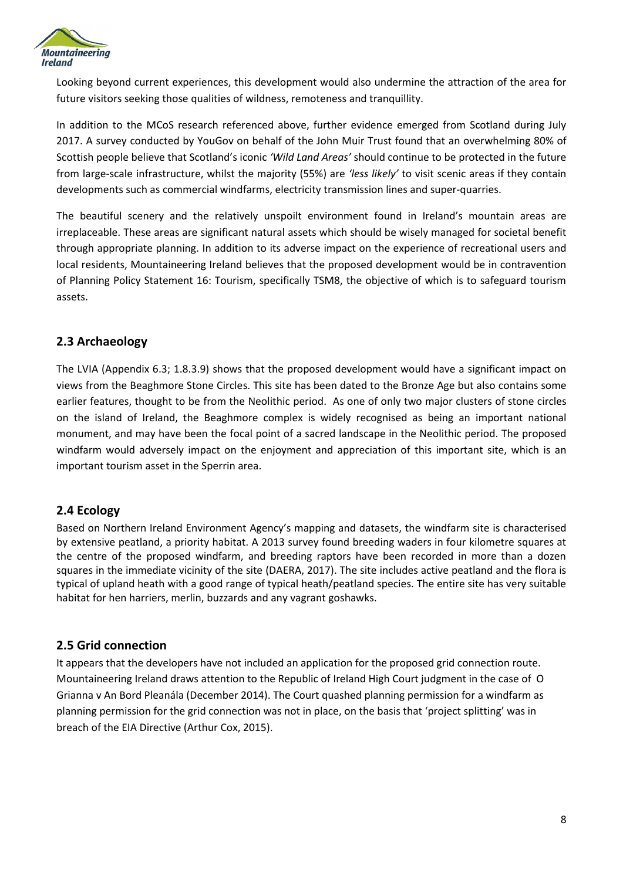

Looking beyond current experiences, this development would also undermine the attraction of the area for future visitors seeking those qualities of wildness, remoteness and tranquillity.

In addition to the MCoS research referenced above, further evidence emerged from Scotland during July 2017. A survey conducted by YouGov on behalf of the John Muir Trust found that an overwhelming 80% of Scottish people believe that Scotland's iconic *'Wild Land Areas'* should continue to be protected in the future from large-scale infrastructure, whilst the majority (55%) are *'less likely'* to visit scenic areas if they contain developments such as commercial windfarms, electricity transmission lines and super-quarries.

The beautiful scenery and the relatively unspoilt environment found in Ireland's mountain areas are irreplaceable. These areas are significant natural assets which should be wisely managed for societal benefit through appropriate planning. In addition to its adverse impact on the experience of recreational users and local residents, Mountaineering Ireland believes that the proposed development would be in contravention of Planning Policy Statement 16: Tourism, specifically TSM8, the objective of which is to safeguard tourism assets.

#### **2.3 Archaeology**

The LVIA (Appendix 6.3; 1.8.3.9) shows that the proposed development would have a significant impact on views from the Beaghmore Stone Circles. This site has been dated to the Bronze Age but also contains some earlier features, thought to be from the Neolithic period. As one of only two major clusters of stone circles on the island of Ireland, the Beaghmore complex is widely recognised as being an important national monument, and may have been the focal point of a sacred landscape in the Neolithic period. The proposed windfarm would adversely impact on the enjoyment and appreciation of this important site, which is an important tourism asset in the Sperrin area.

### **2.4 Ecology**

Based on Northern Ireland Environment Agency's mapping and datasets, the windfarm site is characterised by extensive peatland, a priority habitat. A 2013 survey found breeding waders in four kilometre squares at the centre of the proposed windfarm, and breeding raptors have been recorded in more than a dozen squares in the immediate vicinity of the site (DAERA, 2017). The site includes active peatland and the flora is typical of upland heath with a good range of typical heath/peatland species. The entire site has very suitable habitat for hen harriers, merlin, buzzards and any vagrant goshawks.

#### **2.5 Grid connection**

It appears that the developers have not included an application for the proposed grid connection route. Mountaineering Ireland draws attention to the Republic of Ireland High Court judgment in the case of O Grianna v An Bord Pleanála (December 2014). The Court quashed planning permission for a windfarm as planning permission for the grid connection was not in place, on the basis that 'project splitting' was in breach of the EIA Directive (Arthur Cox, 2015).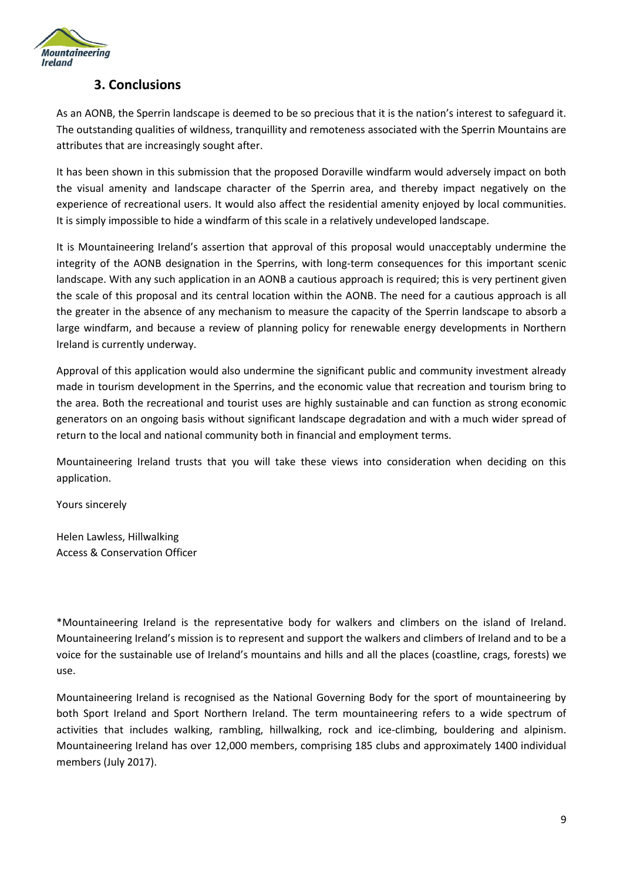

### **3. Conclusions**

As an AONB, the Sperrin landscape is deemed to be so precious that it is the nation's interest to safeguard it. The outstanding qualities of wildness, tranquillity and remoteness associated with the Sperrin Mountains are attributes that are increasingly sought after.

It has been shown in this submission that the proposed Doraville windfarm would adversely impact on both the visual amenity and landscape character of the Sperrin area, and thereby impact negatively on the experience of recreational users. It would also affect the residential amenity enjoyed by local communities. It is simply impossible to hide a windfarm of this scale in a relatively undeveloped landscape.

It is Mountaineering Ireland's assertion that approval of this proposal would unacceptably undermine the integrity of the AONB designation in the Sperrins, with long-term consequences for this important scenic landscape. With any such application in an AONB a cautious approach is required; this is very pertinent given the scale of this proposal and its central location within the AONB. The need for a cautious approach is all the greater in the absence of any mechanism to measure the capacity of the Sperrin landscape to absorb a large windfarm, and because a review of planning policy for renewable energy developments in Northern Ireland is currently underway.

Approval of this application would also undermine the significant public and community investment already made in tourism development in the Sperrins, and the economic value that recreation and tourism bring to the area. Both the recreational and tourist uses are highly sustainable and can function as strong economic generators on an ongoing basis without significant landscape degradation and with a much wider spread of return to the local and national community both in financial and employment terms.

Mountaineering Ireland trusts that you will take these views into consideration when deciding on this application.

Yours sincerely

Helen Lawless, Hillwalking Access & Conservation Officer

\*Mountaineering Ireland is the representative body for walkers and climbers on the island of Ireland. Mountaineering Ireland's mission is to represent and support the walkers and climbers of Ireland and to be a voice for the sustainable use of Ireland's mountains and hills and all the places (coastline, crags, forests) we use.

Mountaineering Ireland is recognised as the National Governing Body for the sport of mountaineering by both Sport Ireland and Sport Northern Ireland. The term mountaineering refers to a wide spectrum of activities that includes walking, rambling, hillwalking, rock and ice-climbing, bouldering and alpinism. Mountaineering Ireland has over 12,000 members, comprising 185 clubs and approximately 1400 individual members (July 2017).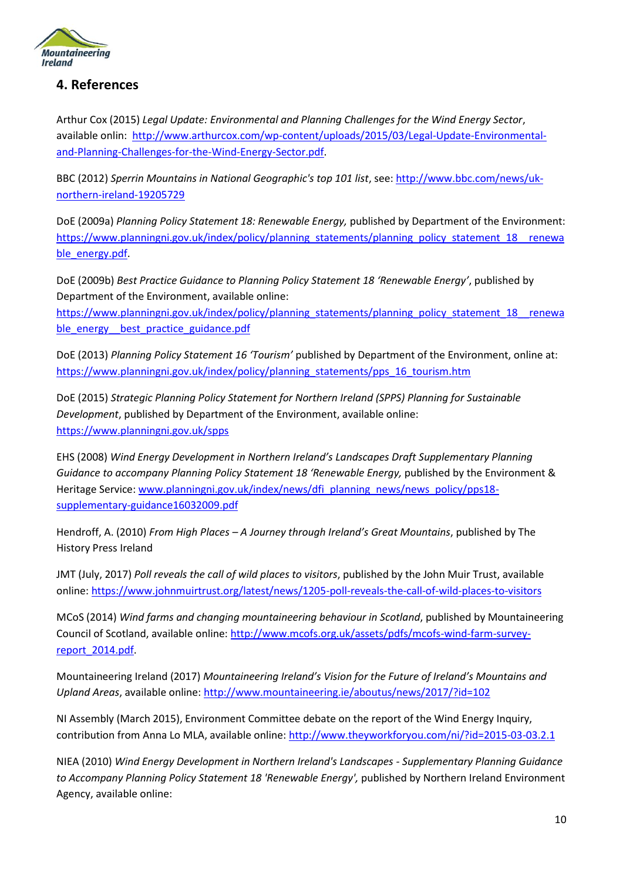

## **4. References**

Arthur Cox (2015) *Legal Update: Environmental and Planning Challenges for the Wind Energy Sector*, available onlin: [http://www.arthurcox.com/wp-content/uploads/2015/03/Legal-Update-Environmental](http://www.arthurcox.com/wp-content/uploads/2015/03/Legal-Update-Environmental-and-Planning-Challenges-for-the-Wind-Energy-Sector.pdf)[and-Planning-Challenges-for-the-Wind-Energy-Sector.pdf.](http://www.arthurcox.com/wp-content/uploads/2015/03/Legal-Update-Environmental-and-Planning-Challenges-for-the-Wind-Energy-Sector.pdf)

BBC (2012) *Sperrin Mountains in National Geographic's top 101 list*, see: [http://www.bbc.com/news/uk](http://www.bbc.com/news/uk-northern-ireland-19205729)[northern-ireland-19205729](http://www.bbc.com/news/uk-northern-ireland-19205729)

DoE (2009a) *Planning Policy Statement 18: Renewable Energy,* published by Department of the Environment: [https://www.planningni.gov.uk/index/policy/planning\\_statements/planning\\_policy\\_statement\\_18\\_\\_renewa](https://www.planningni.gov.uk/index/policy/planning_statements/planning_policy_statement_18__renewable_energy.pdf) [ble\\_energy.pdf.](https://www.planningni.gov.uk/index/policy/planning_statements/planning_policy_statement_18__renewable_energy.pdf)

DoE (2009b) *Best Practice Guidance to Planning Policy Statement 18 'Renewable Energy'*, published by Department of the Environment, available online:

[https://www.planningni.gov.uk/index/policy/planning\\_statements/planning\\_policy\\_statement\\_18\\_\\_renewa](https://www.planningni.gov.uk/index/policy/planning_statements/planning_policy_statement_18__renewable_energy__best_practice_guidance.pdf) [ble\\_energy\\_\\_best\\_practice\\_guidance.pdf](https://www.planningni.gov.uk/index/policy/planning_statements/planning_policy_statement_18__renewable_energy__best_practice_guidance.pdf)

DoE (2013) *Planning Policy Statement 16 'Tourism'* published by Department of the Environment, online at: [https://www.planningni.gov.uk/index/policy/planning\\_statements/pps\\_16\\_tourism.htm](https://www.planningni.gov.uk/index/policy/planning_statements/pps_16_tourism.htm)

DoE (2015) *Strategic Planning Policy Statement for Northern Ireland (SPPS) Planning for Sustainable Development*, published by Department of the Environment, available online: <https://www.planningni.gov.uk/spps>

EHS (2008) *Wind Energy Development in Northern Ireland's Landscapes Draft Supplementary Planning Guidance to accompany Planning Policy Statement 18 'Renewable Energy,* published by the Environment & Heritage Service: [www.planningni.gov.uk/index/news/dfi\\_planning\\_news/news\\_policy/pps18](http://www.planningni.gov.uk/index/news/dfi_planning_news/news_policy/pps18-supplementary-guidance16032009.pdf) [supplementary-guidance16032009.pdf](http://www.planningni.gov.uk/index/news/dfi_planning_news/news_policy/pps18-supplementary-guidance16032009.pdf)

Hendroff, A. (2010) *From High Places – A Journey through Ireland's Great Mountains*, published by The History Press Ireland

JMT (July, 2017) *Poll reveals the call of wild places to visitors*, published by the John Muir Trust, available online: <https://www.johnmuirtrust.org/latest/news/1205-poll-reveals-the-call-of-wild-places-to-visitors>

MCoS (2014) *Wind farms and changing mountaineering behaviour in Scotland*, published by Mountaineering Council of Scotland, available online: [http://www.mcofs.org.uk/assets/pdfs/mcofs-wind-farm-survey](http://www.mcofs.org.uk/assets/pdfs/mcofs-wind-farm-survey-report_2014.pdf)[report\\_2014.pdf.](http://www.mcofs.org.uk/assets/pdfs/mcofs-wind-farm-survey-report_2014.pdf)

Mountaineering Ireland (2017) *Mountaineering Ireland's Vision for the Future of Ireland's Mountains and Upland Areas*, available online[: http://www.mountaineering.ie/aboutus/news/2017/?id=102](http://www.mountaineering.ie/aboutus/news/2017/?id=102)

NI Assembly (March 2015), Environment Committee debate on the report of the Wind Energy Inquiry, contribution from Anna Lo MLA, available online:<http://www.theyworkforyou.com/ni/?id=2015-03-03.2.1>

NIEA (2010) *Wind Energy Development in Northern Ireland's Landscapes - Supplementary Planning Guidance*  to Accompany Planning Policy Statement 18 'Renewable Energy', published by Northern Ireland Environment Agency, available online: